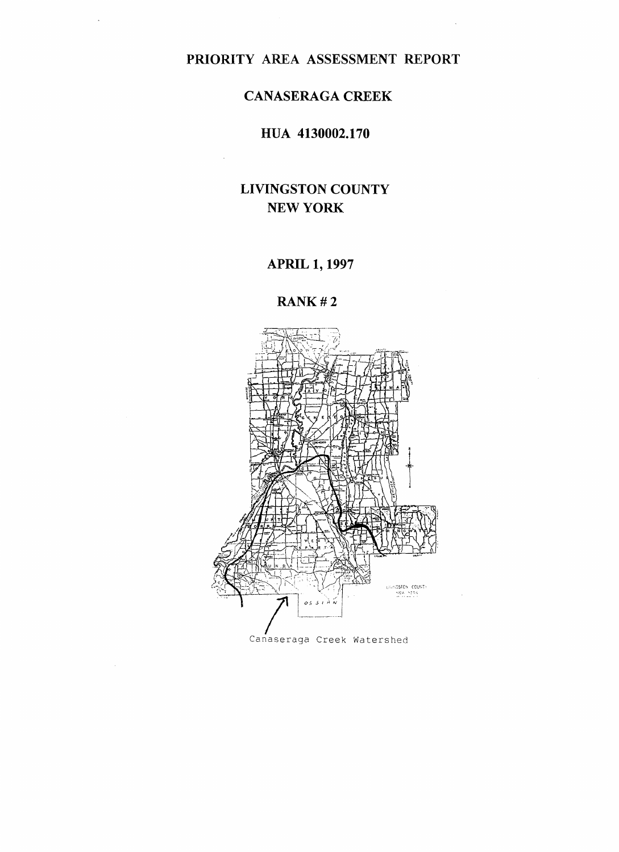# **PRIORITY AREA ASSESSMENT REPORT**

## **CANASERAGA CREEK**

## **HUA 4130002.170**

# **LIVINGSTON COUNTY NEW YORK**

## **APRIL 1,1997**

**RANK# 2**

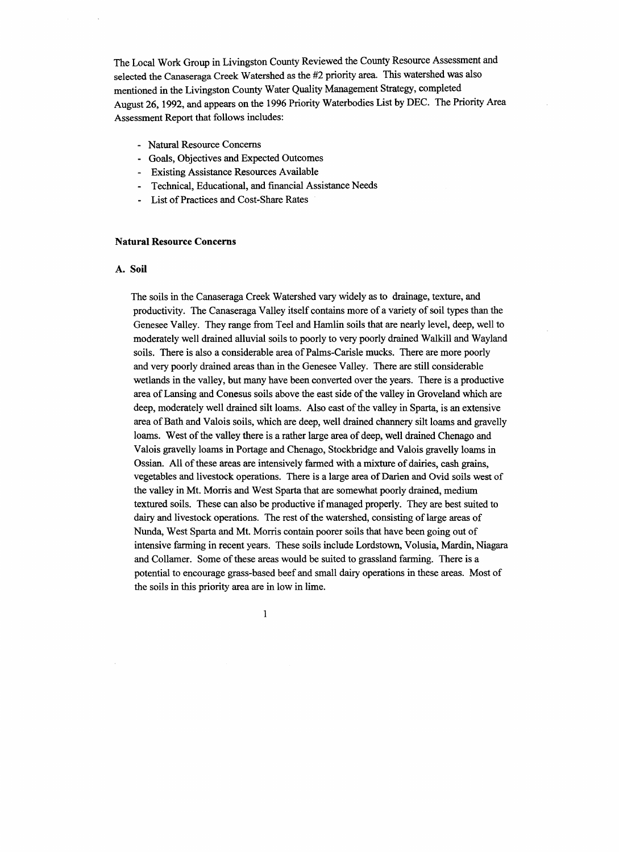The Local Work Group in Livingston County Reviewed the County Resource Assessment and selected the Canaseraga Creek Watershed as the #2 priority area. This watershed was also mentioned in the Livingston County Water Quality Management Strategy, completed August 26,1992, and appears on the 1996 Priority Waterbodies List by DEC. The Priority Area Assessment Report that follows includes:

- Natural Resource Concerns
- Goals, Objectives and Expected Outcomes
- Existing Assistance Resources Available
- Technical, Educational, and financial Assistance Needs
- List of Practices and Cost-Share Rates

#### **Natural Resource Concerns**

#### **A. Soil**

The soils in the Canaseraga Creek Watershed vary widely as to drainage, texture, and productivity. The Canaseraga Valley itself contains more of a variety of soil types than the Genesee Valley. They range from Teel and Hamlin soils that are nearly level, deep, well to moderately well drained alluvial soils to poorly to very poorly drained Walkill and Wayland soils. There is also a considerable area of Palms-Carisle mucks. There are more poorly and very poorly drained areas than in the Genesee Valley. There are still considerable wetlands in the valley, but many have been converted over the years. There is a productive area of Lansing and Conesus soils above the east side of the valley in Groveland which are deep, moderately well drained silt loams. Also east of the valley in Sparta, is an extensive area of Bath and Valois soils, which are deep, well drained channery silt loams and gravelly loams. West of the valley there is a rather large area of deep, well drained Chenago and Valois gravelly loams in Portage and Chenago, Stockbridge and Valois gravelly loams in Ossian. All of these areas are intensively farmed with a mixture of dairies, cash grains, vegetables and livestock operations. There is a large area of Darien and Ovid soils west of the valley in Mt. Morris and West Sparta that are somewhat poorly drained, medium textured soils. These can also be productive if managed properly. They are best suited to dairy and livestock operations. The rest of the watershed, consisting of large areas of Nunda, West Sparta and Mt. Morris contain poorer soils that have been going out of intensive farming in recent years. These soils include Lordstown, Volusia, Mardin, Niagara and Collamer. Some of these areas would be suited to grassland farming. There is a potential to encourage grass-based beef and small dairy operations in these areas. Most of the soils in this priority area are in low in lime.

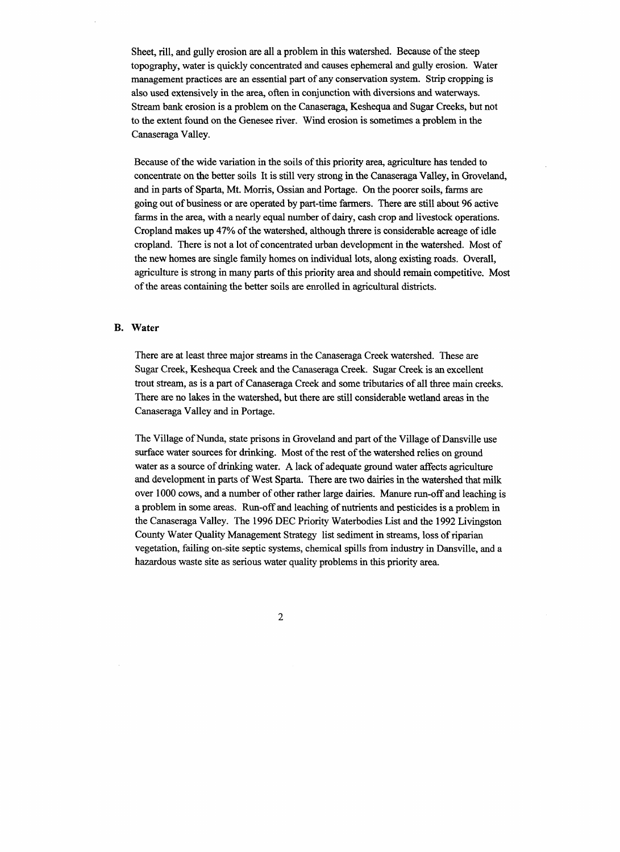Sheet, rill, and gully erosion are all a problem in this watershed. Because of the steep topography, water is quickly concentrated and causes ephemeral and gully erosion. Water management practices are an essential part of any conservation system. Strip cropping is also used extensively in the area, often in conjunction with diversions and waterways. Stream bank erosion is a problem on the Canaseraga, Keshequa and Sugar Creeks, but not to the extent found on the Genesee river. Wind erosion is sometimes a problem in the Canaseraga Valley.

Because of the wide variation in the soils of this priority area, agriculture has tended to concentrate on the better soils It is still very strong in the Canaseraga Valley, in Groveland, and in parts of Sparta, Mt. Morris, Ossian and Portage. On the poorer soils, farms are going out of business or are operated by part-time farmers. There are still about 96 active farms in the area, with a nearly equal number of dairy, cash crop and livestock operations. Cropland makes up 47% of the watershed, although threre is considerable acreage of idle cropland. There is not a lot of concentrated urban development in the watershed. Most of the new homes are single family homes on individual lots, along existing roads. Overall, agriculture is strong in many parts of this priority area and should remain competitive. Most of the areas containing the better soils are enrolled in agricultural districts.

#### **B. Water**

There are at least three major streams in the Canaseraga Creek watershed. These are Sugar Creek, Keshequa Creek and the Canaseraga Creek. Sugar Creek is an excellent trout stream, as is a part of Canaseraga Creek and some tributaries of all three main creeks. There are no lakes in the watershed, but there are still considerable wetland areas in the Canaseraga Valley and in Portage.

The Village of Nunda, state prisons in Groveland and part of the Village of Dansville use surface water sources for drinking. Most of the rest of the watershed relies on ground water as a source of drinking water. A lack of adequate ground water affects agriculture and development in parts of West Sparta. There are two dairies in the watershed that milk over 1000 cows, and a number of other rather large dairies. Manure run-off and leaching is a problem in some areas. Run-off and leaching of nutrients and pesticides is a problem in the Canaseraga Valley. The 1996 DEC Priority Waterbodies List and the 1992 Livingston County Water Quality Management Strategy list sediment in streams, loss of riparian vegetation, failing on-site septic systems, chemical spills from industry in Dansville, and a hazardous waste site as serious water quality problems in this priority area.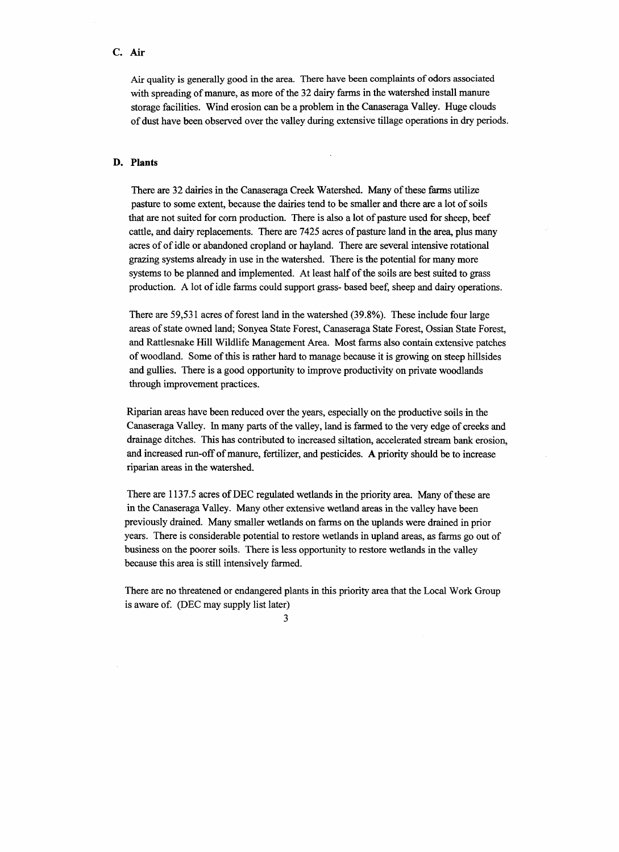### **C. Air**

Air quality is generally good in the area. There have been complaints of odors associated with spreading of manure, as more of the 32 dairy farms in the watershed install manure storage facilities. Wind erosion can be a problem in the Canaseraga Valley. Huge clouds of dust have been observed over the valley during extensive tillage operations in dry periods.

#### **D. Plants**

There are 32 dairies in the Canaseraga Creek Watershed. Many of these farms utilize pasture to some extent, because the dairies tend to be smaller and there are a lot of soils that are not suited for com production. There is also a lot of pasture used for sheep, beef cattle, and dairy replacements. There are 7425 acres of pasture land in the area, plus many acres of of idle or abandoned cropland or hayland. There are several intensive rotational grazing systems already in use in the watershed. There is the potential for many more systems to be planned and implemented. At least half of the soils are best suited to grass production. A lot of idle farms could support grass- based beef, sheep and dairy operations.

There are 59,531 acres of forest land in the watershed (39.8%). These include four large areas of state owned land; Sonyea State Forest, Canaseraga State Forest, Ossian State Forest, and Rattlesnake Hill Wildlife Management Area. Most farms also contain extensive patches of woodland. Some of this is rather hard to manage because it is growing on steep hillsides and gullies. There is a good opportunity to improve productivity on private woodlands through improvement practices.

Riparian areas have been reduced over the years, especially on the productive soils in the Canaseraga Valley. In many parts of the valley, land is farmed to the very edge of creeks and drainage ditches. This has contributed to increased siltation, accelerated stream bank erosion, and increased run-off of manure, fertilizer, and pesticides. A priority should be to increase riparian areas in the watershed.

There are 1137.5 acres of DEC regulated wetlands in the priority area. Many of these are in the Canaseraga Valley. Many other extensive wetland areas in the valley have been previously drained. Many smaller wetlands on farms on the uplands were drained in prior years. There is considerable potential to restore wetlands in upland areas, as farms go out of business on the poorer soils. There is less opportunity to restore wetlands in the valley because this area is still intensively farmed.

There are no threatened or endangered plants in this priority area that the Local Work Group is aware of. (DEC may supply list later)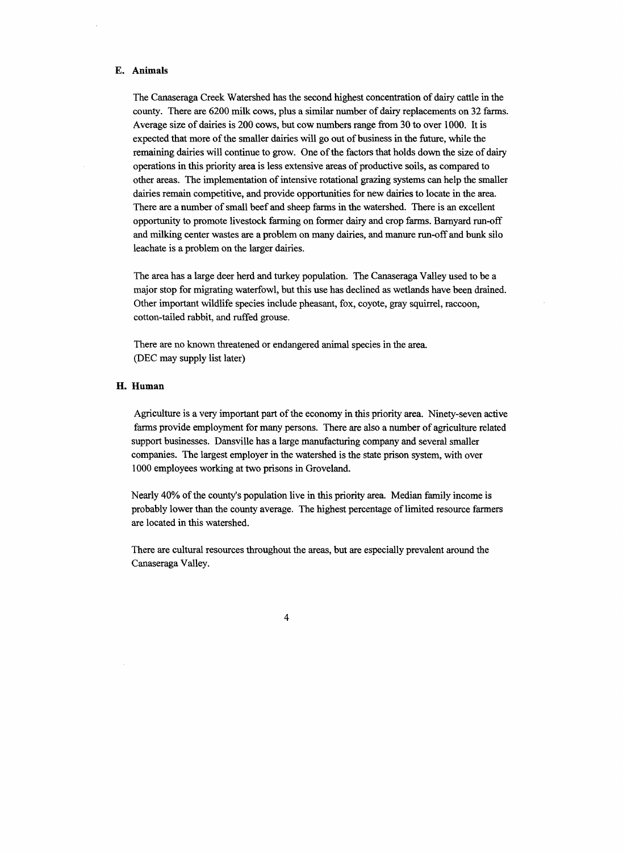#### **E. Animals**

The Canaseraga Creek Watershed has the second highest concentration of dairy cattle in the county. There are 6200 milk cows, plus a similar number of dairy replacements on 32 farms. Average size of dairies is 200 cows, but cow numbers range from 30 to over 1000. It is expected that more of the smaller dairies will go out of business in the future, while the remaining dairies will continue to grow. One of the factors that holds down the size of dairy operations in this priority area is less extensive areas of productive soils, as compared to other areas. The implementation of intensive rotational grazing systems can help the smaller dairies remain competitive, and provide opportunities for new dairies to locate in the area. There are a number of small beef and sheep farms in the watershed. There is an excellent opportunity to promote livestock farming on former dairy and crop farms. Barnyard run-off and milking center wastes are a problem on many dairies, and manure run-off and bunk silo leachate is a problem on the larger dairies.

The area has a large deer herd and turkey population. The Canaseraga Valley used to be a major stop for migrating waterfowl, but this use has declined as wetlands have been drained. Other important wildlife species include pheasant, fox, coyote, gray squirrel, raccoon, cotton-tailed rabbit, and ruffed grouse.

There are no known threatened or endangered animal species in the area. (DEC may supply list later)

#### **H. Human**

Agriculture is a very important part of the economy in this priority area. Ninety-seven active farms provide employment for many persons. There are also a number of agriculture related support businesses. Dansville has a large manufacturing company and several smaller companies. The largest employer in the watershed is the state prison system, with over 1000 employees working at two prisons in Groveland.

Nearly 40% of the county's population live in this priority area. Median family income is probably lower than the county average. The highest percentage of limited resource farmers are located in this watershed.

There are cultural resources throughout the areas, but are especially prevalent around the Canaseraga Valley.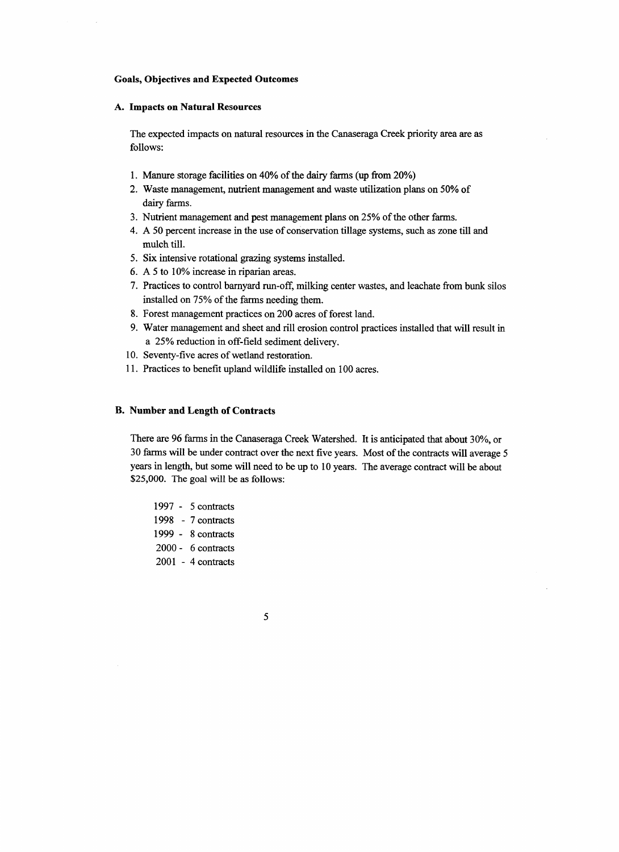#### **Goals, Objectives and Expected Outcomes**

#### **A. Impacts on Natural Resources**

The expected impacts on natural resources in the Canaseraga Creek priority area are as follows:

- 1. Manure storage facilities on 40% of the dairy farms (up from 20%)
- 2. Waste management, nutrient management and waste utilization plans on 50% of dairy farms.
- 3. Nutrient management and pest management plans on 25% of the other farms.
- 4. A 50 percent increase in the use of conservation tillage systems, such as zone till and mulch till.
- 5. Six intensive rotational grazing systems installed.
- 6. A 5 to 10% increase in riparian areas.
- 7. Practices to control barnyard run-off, milking center wastes, and leachate from bunk silos installed on 75% of the farms needing them.
- 8. Forest management practices on 200 acres of forest land.
- 9. Water management and sheet and rill erosion control practices installed that will result in a 25% reduction in off-field sediment delivery.
- 10. Seventy-five acres of wetland restoration.
- 11. Practices to benefit upland wildlife installed on 100 acres.

#### **B. Number and Length of Contracts**

There are 96 farms in the Canaseraga Creek Watershed. It is anticipated that about 30%, or 30 farms will be under contract over the next five years. Most of the contracts will average 5 years in length, but some will need to be up to 10 years. The average contract will be about \$25,000. The goal will be as follows:

- 1997 5 contracts 1998 - 7 contracts 1999 - 8 contracts 2000- 6 contracts 2001 - 4 contracts
- **5**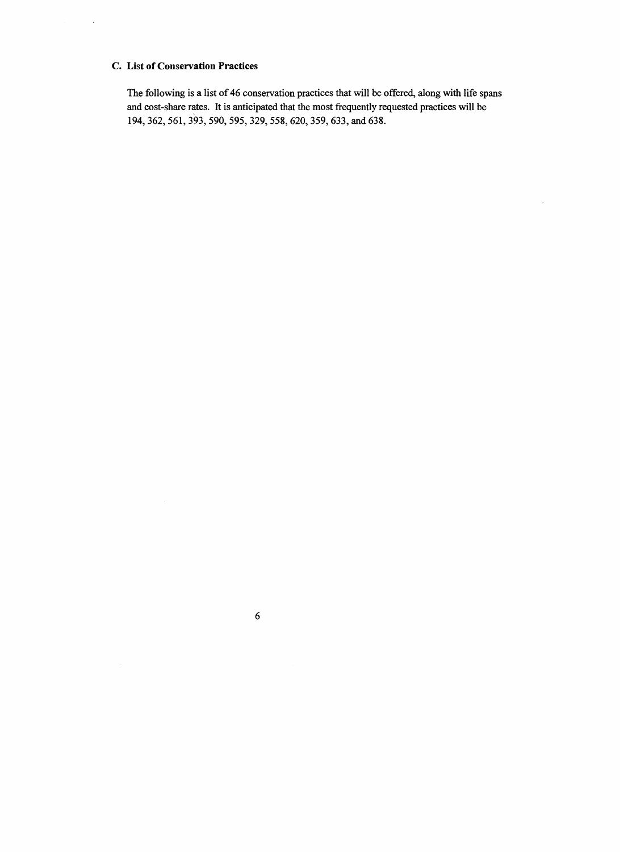## **C. List of Conservation Practices**

 $\sim$ 

 $\bar{z}$ 

 $\hat{\mathcal{A}}$ 

The following is a list of 46 conservation practices that will be offered, along with life spans and cost-share rates. It is anticipated that the most frequently requested practices will be 194, 362, 561, 393, 590, 595,329,558,620,359,633, and 638.

 $\hat{\mathcal{L}}$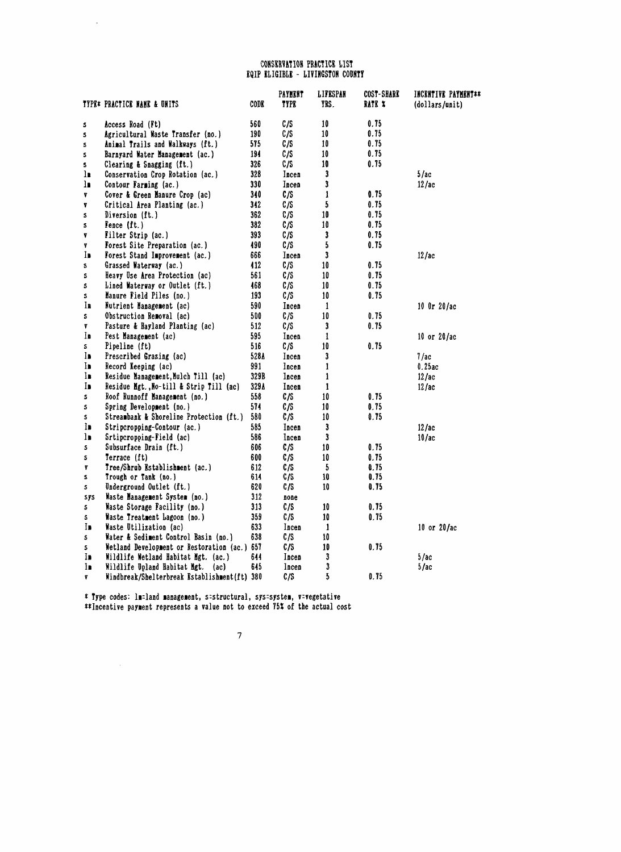#### CONSERVATION PRACTICE LIST EQIP ELIGIBLE - LIYIHGSTOH CODHTY

 $\mathcal{L}_{\mathcal{L}}$ 

|     | TYPE* PRACTICE NAME & UNITS                  | <b>CODE</b> | <b>PAYMENT</b><br>TYPE | LIFESPAN<br>YRS. | COST-SHARE<br>RATE % | INCENTIVE PAYMENT**<br>(dollars/unit) |
|-----|----------------------------------------------|-------------|------------------------|------------------|----------------------|---------------------------------------|
| S   | Access Road (Ft)                             | 560         | C/S                    | 10               | 0.75                 |                                       |
| 5   | Agricultural Waste Transfer (no.)            | 190         | C/S                    | 10               | 0.75                 |                                       |
| S   | Animal Trails and Walkways (ft.)             | 575         | C/S                    | 10               | 0.75                 |                                       |
| s   | Barnyard Water Management (ac.)              | 194         | C/S                    | 10               | 0.75                 |                                       |
| 5   | Clearing & Snagging (ft.)                    | 326         | C/S                    | 10               | 0.75                 |                                       |
| ŢP  | Conservation Crop Rotation (ac.)             | 328         | Incen                  | $\mathbf{3}$     |                      | 5/ac                                  |
| ١.  | Contour Farming (ac.)                        | 330         | Incen                  | 3                |                      | 12/ac                                 |
| ٧.  | Cover & Green Hanure Crop (ac)               | 340         | C/S                    | $\mathbf{1}$     | 0.75                 |                                       |
| Y   | Critical Area Planting (ac.)                 | 342         | C/S                    | 5                | 0.75                 |                                       |
| 5   | Diversion (ft.)                              | 362         | C/S                    | 10               | 0.75                 |                                       |
| 5   | Fence (ft.)                                  | 382         | C/S                    | 10               | 0.75                 |                                       |
| Y   | Filter Strip (ac.)                           | 393         | C/S                    | $\mathbf{3}$     | 0.75                 |                                       |
| Y.  | <b>Forest Site Preparation (ac.)</b>         | 490         | C/S                    | 5                | 0.75                 |                                       |
| In  | Forest Stand Improvement (ac.)               | 666         | Incen                  | 3                |                      | 12/ac                                 |
| s   | Grassed Waterway (ac.)                       | 412         | C/S                    | 10               | 0.75                 |                                       |
| s   | Heavy Use Area Protection (ac)               | 561         | C/S                    | 10               | 0.75                 |                                       |
| S   | Lined Waterway or Outlet (ft.)               | 468         | C/S                    | 10               | 0.75                 |                                       |
| s   | Manure Field Piles (no.)                     | 193         | C/S                    | 10               | 0.75                 |                                       |
| In  | Nutrient Management (ac)                     | 590         | Incen                  | $\mathbf{1}$     |                      | $10$ Or $20/ac$                       |
| s   | Obstruction Removal (ac)                     | 500         | C/S                    | 10               | 0.75                 |                                       |
| Y   | Pasture & Hayland Planting (ac)              | 512         | C/S                    | $\mathbf{3}$     | 0.75                 |                                       |
| Īn  | Pest Management (ac)                         | 595         | Incen                  | 1                |                      | 10 or $20/\text{ac}$                  |
| S.  | Pipeline (ft)                                | 516         | C/S                    | 10               | 0.75                 |                                       |
| In  | Prescribed Grazing (ac)                      | 528A        | Incen                  | 3                |                      | 7/a <sub>c</sub>                      |
| In  | Record Keeping (ac)                          | 991         | Incen                  | 1                |                      | 0.25ac                                |
| I.  | Residue Management, Mulch Till (ac)          | 329B        | Incen                  | $\mathbf{1}$     |                      | 12/ac                                 |
| In  | Residue Mgt., No-till & Strip Till (ac)      | 329A        | Incen                  | 1                |                      | 12/ac                                 |
| 5   | Roof Runnoff Hanagement (no.)                | 558         | C/S                    | 10               | 0.75                 |                                       |
| s   | Spring Development (no.)                     | 574         | C/S                    | 10               | 0.75                 |                                       |
| s   | Streambank & Shoreline Protection (ft.)      | 580         | C/S                    | 10               | 0.75                 |                                       |
| In  | Stripcropping-Contour (ac.)                  | 585         | Incen                  | 3                |                      | 12/ac                                 |
| ls. | Srtipcropping-Field (ac)                     | 586         | Incen                  | $\mathbf{3}$     |                      | 10/ac                                 |
| S.  | Subsurface Drain (ft.)                       | 606         | C/S                    | 10               | 0.75                 |                                       |
| S   | Terrace (ft)                                 | 600         | C/S                    | 10               | 0.75                 |                                       |
| y   | Tree/Shrub Establishment (ac.)               | 612         | C/S                    | $\sqrt{5}$       | 0.75                 |                                       |
| 5   | Trough or Tank (no.)                         | 614         | C/S                    | 10               | 0.75                 |                                       |
| 5.  | Underground Outlet (ft.)                     | 620         | C/S                    | 10               | 0.75                 |                                       |
| sys | Waste Hanagement System (no.)                | 312         | none                   |                  |                      |                                       |
| S.  | Waste Storage Facility (no.)                 | 313         | C/S                    | 10               | 0.75                 |                                       |
| S.  | Waste Treatment Lagoon (no.)                 | 359         | C/S                    | 10               | 0.75                 |                                       |
| In  | Waste Utilization (ac)                       | 633         | Incen                  | 1                |                      | 10 or 20/ac                           |
| S.  | Water & Sediment Control Basin (no.)         | 638         | C/S                    | 10               |                      |                                       |
| S.  | Wetland Development or Restoration (ac.)     | 657         | C/S                    | 10               | 0.75                 |                                       |
| In  | Wildlife Wetland Habitat Mgt. (ac.)          | 644         | Incen                  | 3                |                      | 5/ac                                  |
| In  | Wildlife Upland Habitat Mgt.<br>(ac)         | 645         | Incen                  | 3                |                      | 5/ac                                  |
| 7   | Windbreak/Shelterbreak Establishment(ft) 380 |             | C/S                    | 5                | 0.75                 |                                       |

\* Type codes: Inland aanageaent, structural, sys^systea, v^vegetative ♦♦Incentive payaent represents a value not to exceed 755! of the actual cost

 $\mathcal{A}^{\mathcal{A}}$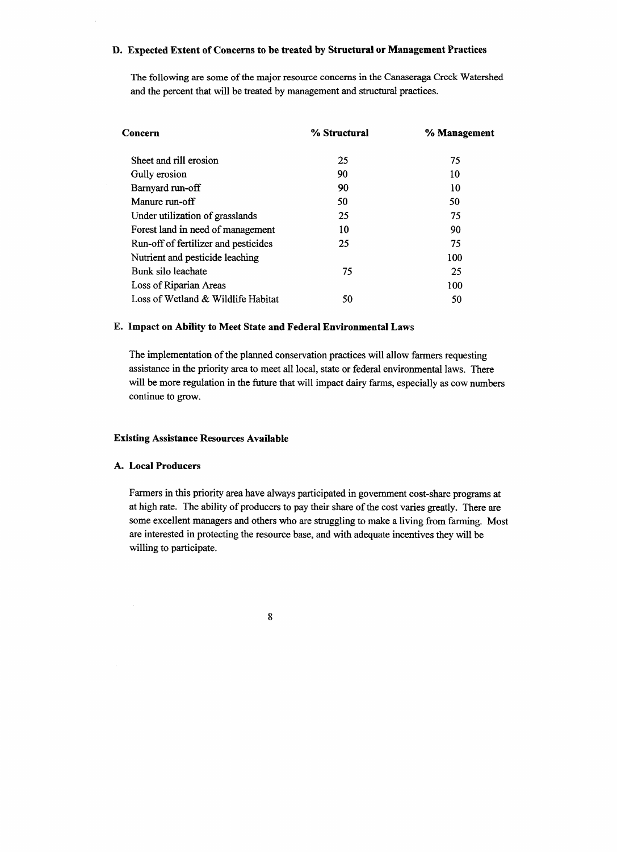## **D. Expected Extent of Concerns to be treated by Structural or Management Practices**

The following are some of the major resource concerns in the Canaseraga Creek Watershed and the percent that will be treated by management and structural practices.

| Concern                              | % Structural | % Management |  |
|--------------------------------------|--------------|--------------|--|
| Sheet and rill erosion               | 25           | 75           |  |
| Gully erosion                        | 90           | 10           |  |
| Barnyard run-off                     | 90           | 10           |  |
| Manure run-off                       | 50           | 50           |  |
| Under utilization of grasslands      | 25           | 75           |  |
| Forest land in need of management    | 10           | 90           |  |
| Run-off of fertilizer and pesticides | 25           | 75           |  |
| Nutrient and pesticide leaching      |              | 100          |  |
| Bunk silo leachate                   | 75           | 25           |  |
| Loss of Riparian Areas               |              | 100          |  |
| Loss of Wetland & Wildlife Habitat   | 50           | 50           |  |

### **E. Impact on Ability to Meet State and Federal Environmental Laws**

The implementation of the planned conservation practices will allow farmers requesting assistance in the priority area to meet all local, state or federal environmental laws. There will be more regulation in the future that will impact dairy farms, especially as cow numbers continue to grow.

### **Existing Assistance Resources Available**

#### **A. Local Producers**

Farmers in this priority area have always participated in government cost-share programs at at high rate. The ability of producers to pay their share of the cost varies greatly. There are some excellent managers and others who are struggling to make a living from farming. Most are interested in protecting the resource base, and with adequate incentives they will be willing to participate.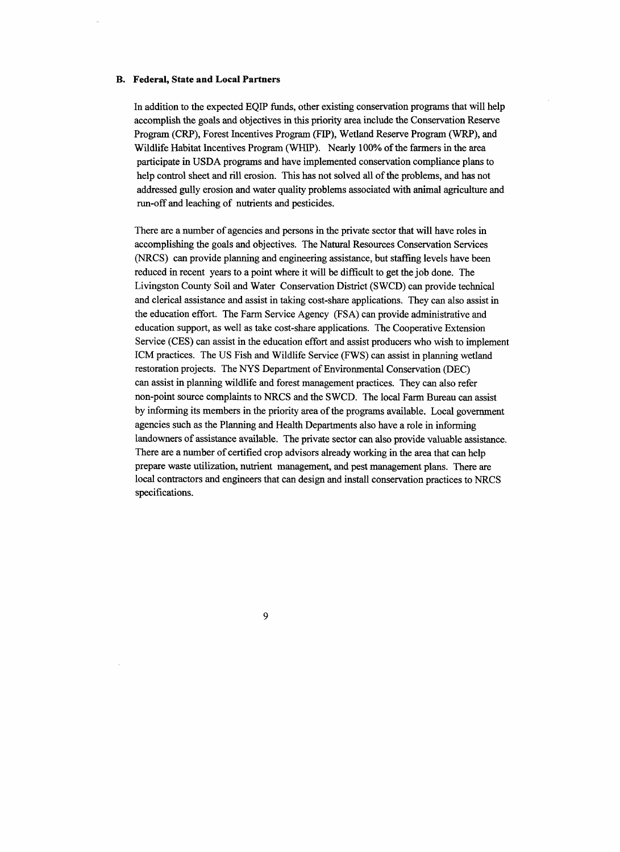#### **B. Federal, State and Local Partners**

In addition to the expected EQIP funds, other existing conservation programs that will help accomplish the goals and objectives in this priority area include the Conservation Reserve Program (CRP), Forest Incentives Program (FIP), Wetland Reserve Program (WRP), and Wildlife Habitat Incentives Program (WHIP). Nearly 100% of the farmers in the area participate in USDA programs and have implemented conservation compliance plans to help control sheet and rill erosion. This has not solved all of the problems, and has not addressed gully erosion and water quality problems associated with animal agriculture and run-off and leaching of nutrients and pesticides.

There are a number of agencies and persons in the private sector that will have roles in accomplishing the goals and objectives. The Natural Resources Conservation Services (NRCS) can provide planning and engineering assistance, but staffing levels have been reduced in recent years to a point where it will be difficult to get the job done. The Livingston County Soil and Water Conservation District (SWCD) can provide technical and clerical assistance and assist in taking cost-share applications. They can also assist in the education effort. The Farm Service Agency (FSA) can provide administrative and education support, as well as take cost-share applications. The Cooperative Extension Service (CES) can assist in the education effort and assist producers who wish to implement ICM practices. The US Fish and Wildlife Service (FWS) can assist in planning wetland restoration projects. The NYS Department of Environmental Conservation (DEC) can assist in planning wildlife and forest management practices. They can also refer non-point source complaints to NRCS and the SWCD. The local Farm Bureau can assist by informing its members in the priority area of the programs available. Local government agencies such as the Planning and Health Departments also have a role in informing landowners of assistance available. The private sector can also provide valuable assistance. There are a number of certified crop advisors already working in the area that can help prepare waste utilization, nutrient management, and pest management plans. There are local contractors and engineers that can design and install conservation practices to NRCS specifications.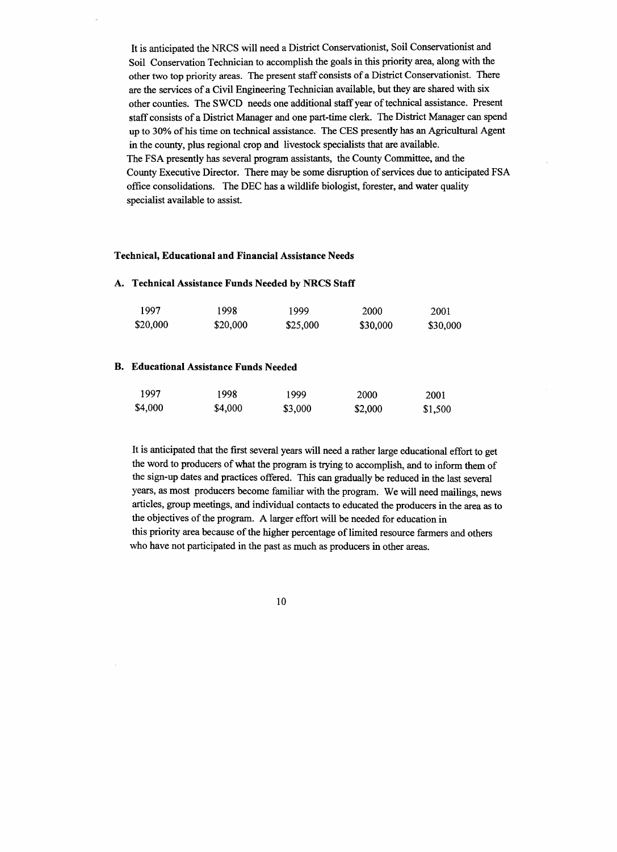It is anticipated the NRCS will need a District Conservationist, Soil Conservationist and Soil Conservation Technician to accomplish the goals in this priority area, along with the other two top priority areas. The present staff consists of a District Conservationist. There are the services of a Civil Engineering Technician available, but they are shared with six other counties. The SWCD needs one additional staff year of technical assistance. Present staff consists of a District Manager and one part-time clerk. The District Manager can spend up to 30% of his time on technical assistance. The CES presently has an Agricultural Agent in the county, plus regional crop and livestock specialists that are available. The FSA presently has several program assistants, the County Committee, and the County Executive Director. There may be some disruption of services due to anticipated FSA office consolidations. The DEC has a wildlife biologist, forester, and water quality specialist available to assist.

#### **Technical, Educational and Financial Assistance Needs**

#### **A. Technical Assistance Funds Needed by NRCS Staff**

| 1997     | 1998     | 1999     | 2000     | 2001     |
|----------|----------|----------|----------|----------|
| \$20,000 | \$20,000 | \$25,000 | \$30,000 | \$30,000 |

#### **B. Educational Assistance Funds Needed**

| 1997    | 1998    | 1999    | 2000    | 2001    |
|---------|---------|---------|---------|---------|
| \$4,000 | \$4,000 | \$3,000 | \$2,000 | \$1,500 |

It is anticipated that the first several years will need a rather large educational effort to get the word to producers of what the program is trying to accomplish, and to inform them of the sign-up dates and practices offered. This can gradually be reduced in the last several years, as most producers become familiar with the program. We will need mailings, news articles, group meetings, and individual contacts to educated the producers in the area as to the objectives of the program. A larger effort will be needed for education in this priority area because of the higher percentage of limited resource farmers and others who have not participated in the past as much as producers in other areas.